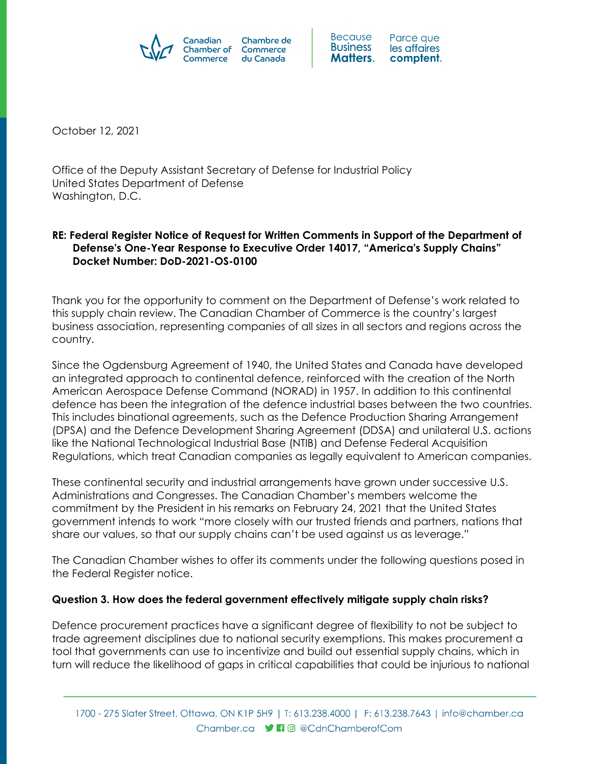



October 12, 2021

Office of the Deputy Assistant Secretary of Defense for Industrial Policy United States Department of Defense Washington, D.C.

## **RE: Federal Register Notice of Request for Written Comments in Support of the Department of Defense's One-Year Response to Executive Order 14017, "America's Supply Chains" Docket Number: DoD-2021-OS-0100**

Thank you for the opportunity to comment on the Department of Defense's work related to this supply chain review. The Canadian Chamber of Commerce is the country's largest business association, representing companies of all sizes in all sectors and regions across the country.

Since the Ogdensburg Agreement of 1940, the United States and Canada have developed an integrated approach to continental defence, reinforced with the creation of the North American Aerospace Defense Command (NORAD) in 1957. In addition to this continental defence has been the integration of the defence industrial bases between the two countries. This includes binational agreements, such as the Defence Production Sharing Arrangement (DPSA) and the Defence Development Sharing Agreement (DDSA) and unilateral U.S. actions like the National Technological Industrial Base (NTIB) and Defense Federal Acquisition Regulations, which treat Canadian companies as legally equivalent to American companies.

These continental security and industrial arrangements have grown under successive U.S. Administrations and Congresses. The Canadian Chamber's members welcome the commitment by the President in his remarks on February 24, 2021 that the United States government intends to work "more closely with our trusted friends and partners, nations that share our values, so that our supply chains can't be used against us as leverage."

The Canadian Chamber wishes to offer its comments under the following questions posed in the Federal Register notice.

## **Question 3. How does the federal government effectively mitigate supply chain risks?**

Defence procurement practices have a significant degree of flexibility to not be subject to trade agreement disciplines due to national security exemptions. This makes procurement a tool that governments can use to incentivize and build out essential supply chains, which in turn will reduce the likelihood of gaps in critical capabilities that could be injurious to national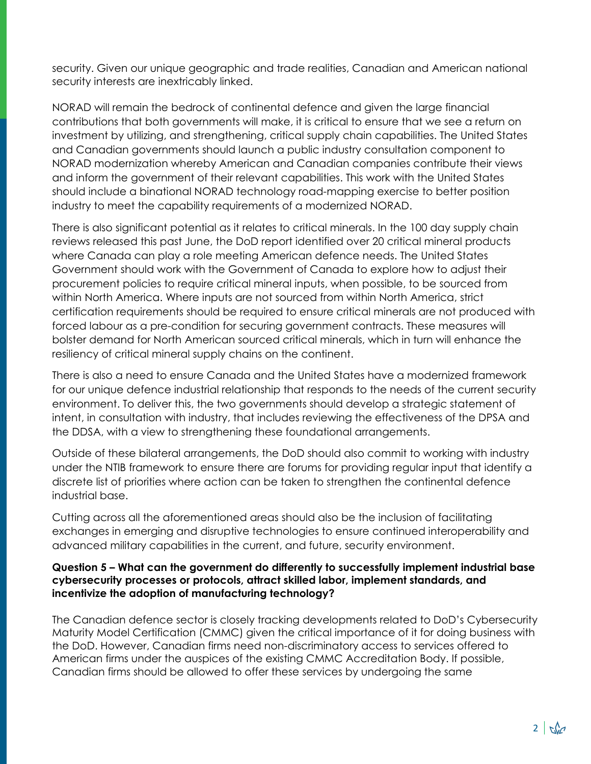security. Given our unique geographic and trade realities, Canadian and American national security interests are inextricably linked.

NORAD will remain the bedrock of continental defence and given the large financial contributions that both governments will make, it is critical to ensure that we see a return on investment by utilizing, and strengthening, critical supply chain capabilities. The United States and Canadian governments should launch a public industry consultation component to NORAD modernization whereby American and Canadian companies contribute their views and inform the government of their relevant capabilities. This work with the United States should include a binational NORAD technology road-mapping exercise to better position industry to meet the capability requirements of a modernized NORAD.

There is also significant potential as it relates to critical minerals. In the 100 day supply chain reviews released this past June, the DoD report identified over 20 critical mineral products where Canada can play a role meeting American defence needs. The United States Government should work with the Government of Canada to explore how to adjust their procurement policies to require critical mineral inputs, when possible, to be sourced from within North America. Where inputs are not sourced from within North America, strict certification requirements should be required to ensure critical minerals are not produced with forced labour as a pre-condition for securing government contracts. These measures will bolster demand for North American sourced critical minerals, which in turn will enhance the resiliency of critical mineral supply chains on the continent.

There is also a need to ensure Canada and the United States have a modernized framework for our unique defence industrial relationship that responds to the needs of the current security environment. To deliver this, the two governments should develop a strategic statement of intent, in consultation with industry, that includes reviewing the effectiveness of the DPSA and the DDSA, with a view to strengthening these foundational arrangements.

Outside of these bilateral arrangements, the DoD should also commit to working with industry under the NTIB framework to ensure there are forums for providing regular input that identify a discrete list of priorities where action can be taken to strengthen the continental defence industrial base.

Cutting across all the aforementioned areas should also be the inclusion of facilitating exchanges in emerging and disruptive technologies to ensure continued interoperability and advanced military capabilities in the current, and future, security environment.

## **Question 5 – What can the government do differently to successfully implement industrial base cybersecurity processes or protocols, attract skilled labor, implement standards, and incentivize the adoption of manufacturing technology?**

The Canadian defence sector is closely tracking developments related to DoD's Cybersecurity Maturity Model Certification (CMMC) given the critical importance of it for doing business with the DoD. However, Canadian firms need non-discriminatory access to services offered to American firms under the auspices of the existing CMMC Accreditation Body. If possible, Canadian firms should be allowed to offer these services by undergoing the same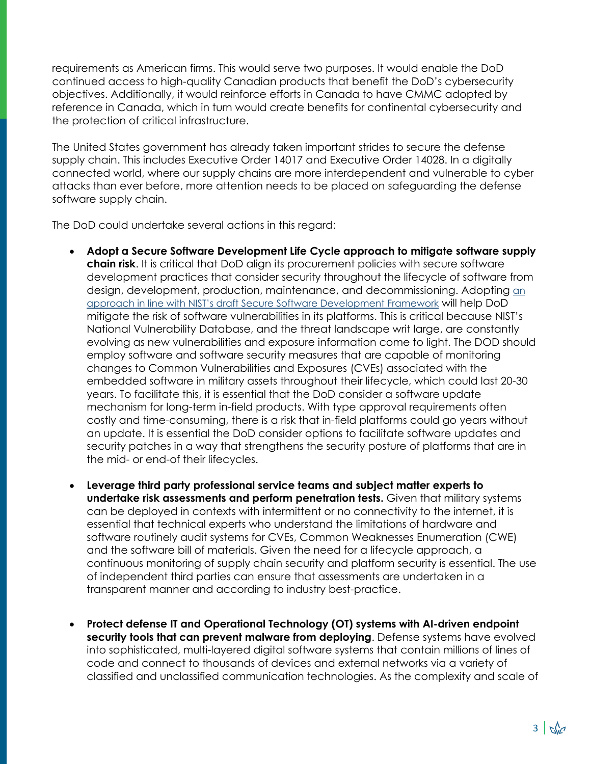requirements as American firms. This would serve two purposes. It would enable the DoD continued access to high-quality Canadian products that benefit the DoD's cybersecurity objectives. Additionally, it would reinforce efforts in Canada to have CMMC adopted by reference in Canada, which in turn would create benefits for continental cybersecurity and the protection of critical infrastructure.

The United States government has already taken important strides to secure the defense supply chain. This includes Executive Order 14017 and Executive Order 14028. In a digitally connected world, where our supply chains are more interdependent and vulnerable to cyber attacks than ever before, more attention needs to be placed on safeguarding the defense software supply chain.

The DoD could undertake several actions in this regard:

- **Adopt a Secure Software Development Life Cycle approach to mitigate software supply chain risk**. It is critical that DoD align its procurement policies with secure software development practices that consider security throughout the lifecycle of software from design, development, production, maintenance, and decommissioning. Adopting [an](https://csrc.nist.gov/publications/detail/sp/800-218/draft)  [approach in line with NIST's draft Secure Software Development Framework](https://csrc.nist.gov/publications/detail/sp/800-218/draft) will help DoD mitigate the risk of software vulnerabilities in its platforms. This is critical because NIST's National Vulnerability Database, and the threat landscape writ large, are constantly evolving as new vulnerabilities and exposure information come to light. The DOD should employ software and software security measures that are capable of monitoring changes to Common Vulnerabilities and Exposures (CVEs) associated with the embedded software in military assets throughout their lifecycle, which could last 20-30 years. To facilitate this, it is essential that the DoD consider a software update mechanism for long-term in-field products. With type approval requirements often costly and time-consuming, there is a risk that in-field platforms could go years without an update. It is essential the DoD consider options to facilitate software updates and security patches in a way that strengthens the security posture of platforms that are in the mid- or end-of their lifecycles.
- **Leverage third party professional service teams and subject matter experts to undertake risk assessments and perform penetration tests.** Given that military systems can be deployed in contexts with intermittent or no connectivity to the internet, it is essential that technical experts who understand the limitations of hardware and software routinely audit systems for CVEs, Common Weaknesses Enumeration (CWE) and the software bill of materials. Given the need for a lifecycle approach, a continuous monitoring of supply chain security and platform security is essential. The use of independent third parties can ensure that assessments are undertaken in a transparent manner and according to industry best-practice.
- **Protect defense IT and Operational Technology (OT) systems with AI-driven endpoint security tools that can prevent malware from deploying**. Defense systems have evolved into sophisticated, multi-layered digital software systems that contain millions of lines of code and connect to thousands of devices and external networks via a variety of classified and unclassified communication technologies. As the complexity and scale of